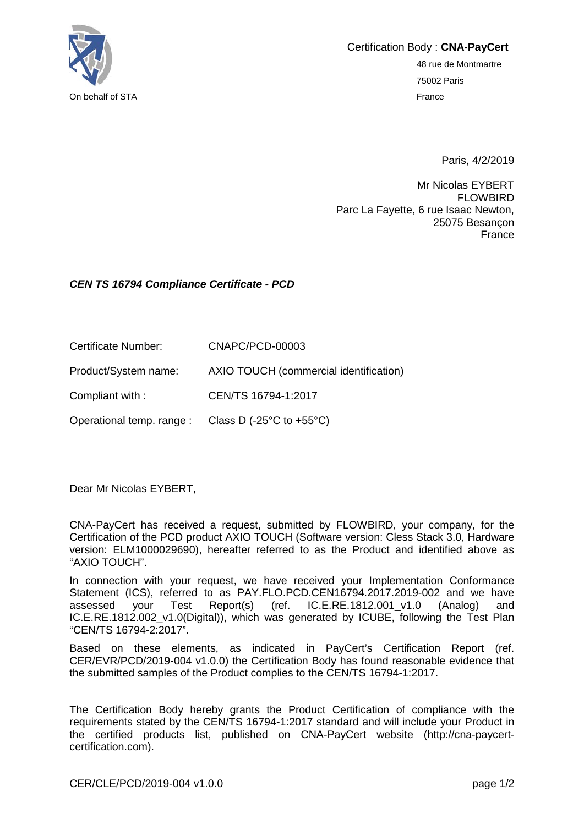

Certification Body : **CNA-PayCert** 48 rue de Montmartre 75002 Paris

Paris, 4/2/2019

Mr Nicolas EYBERT FLOWBIRD Parc La Fayette, 6 rue Isaac Newton, 25075 Besançon France

## *CEN TS 16794 Compliance Certificate - PCD*

| Certificate Number:  | CNAPC/PCD-00003                        |
|----------------------|----------------------------------------|
| Product/System name: | AXIO TOUCH (commercial identification) |

Compliant with : CEN/TS 16794-1:2017

Operational temp. range : Class D (-25°C to +55°C)

Dear Mr Nicolas EYBERT,

CNA-PayCert has received a request, submitted by FLOWBIRD, your company, for the Certification of the PCD product AXIO TOUCH (Software version: Cless Stack 3.0, Hardware version: ELM1000029690), hereafter referred to as the Product and identified above as "AXIO TOUCH".

In connection with your request, we have received your Implementation Conformance Statement (ICS), referred to as PAY.FLO.PCD.CEN16794.2017.2019-002 and we have assessed your Test Report(s) (ref. IC.E.RE.1812.001 v1.0 (Analoa) and assessed your Test Report(s) (ref. IC.E.RE.1812.001\_v1.0 (Analog) and IC.E.RE.1812.002 v1.0(Digital)), which was generated by ICUBE, following the Test Plan "CEN/TS 16794-2:2017".

Based on these elements, as indicated in PayCert's Certification Report (ref. CER/EVR/PCD/2019-004 v1.0.0) the Certification Body has found reasonable evidence that the submitted samples of the Product complies to the CEN/TS 16794-1:2017.

The Certification Body hereby grants the Product Certification of compliance with the requirements stated by the CEN/TS 16794-1:2017 standard and will include your Product in the certified products list, published on CNA-PayCert website (http://cna-paycertcertification.com).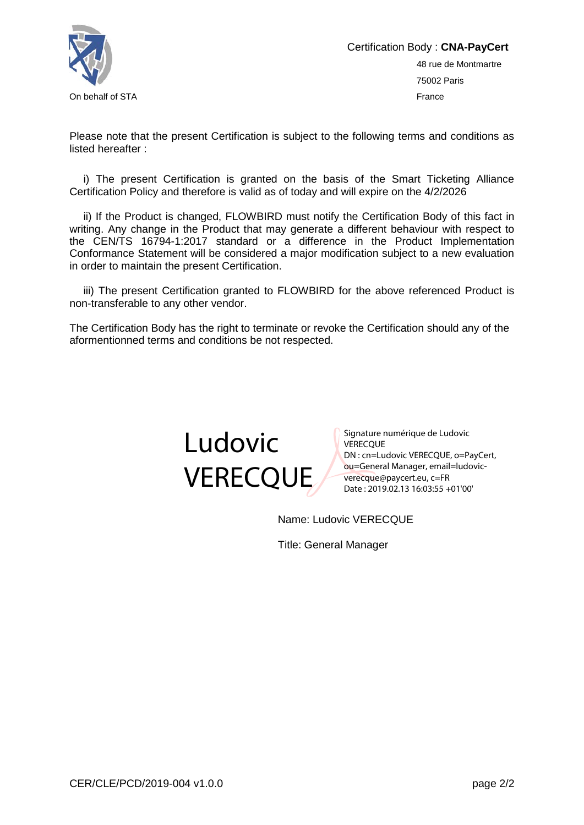

Please note that the present Certification is subject to the following terms and conditions as listed hereafter :

i) The present Certification is granted on the basis of the Smart Ticketing Alliance Certification Policy and therefore is valid as of today and will expire on the 4/2/2026

ii) If the Product is changed, FLOWBIRD must notify the Certification Body of this fact in writing. Any change in the Product that may generate a different behaviour with respect to the CEN/TS 16794-1:2017 standard or a difference in the Product Implementation Conformance Statement will be considered a major modification subject to a new evaluation in order to maintain the present Certification.

iii) The present Certification granted to FLOWBIRD for the above referenced Product is non-transferable to any other vendor.

The Certification Body has the right to terminate or revoke the Certification should any of the aformentionned terms and conditions be not respected.



Signature numérique de Ludovic **VERECOUE** DN : cn=Ludovic VERECQUE, o=PayCert, ou=General Manager, email=ludovicverecque@paycert.eu, c=FR Date : 2019.02.13 16:03:55 +01'00'

Name: Ludovic VERECQUE

Title: General Manager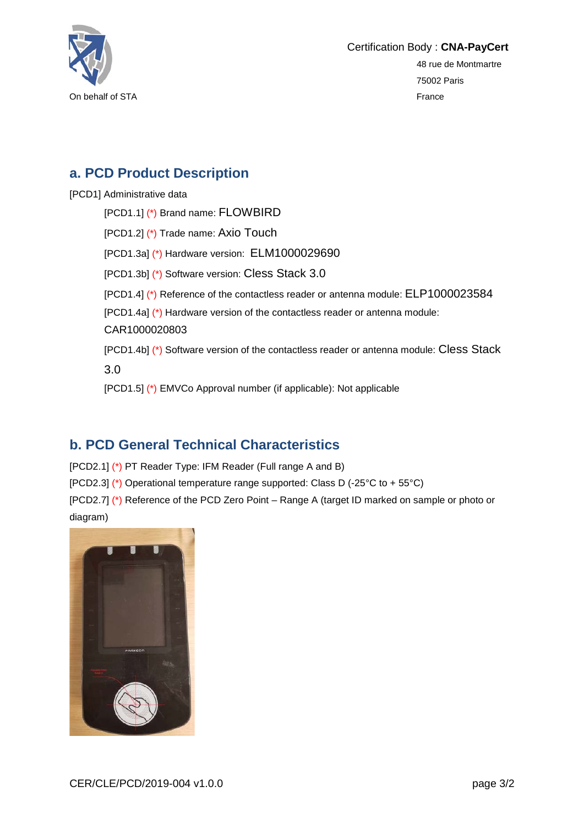

## **a. PCD Product Description**

[PCD1] Administrative data

[PCD1.1] (\*) Brand name: FLOWBIRD [PCD1.2] (\*) Trade name: Axio Touch [PCD1.3a] (\*) Hardware version: ELM1000029690 [PCD1.3b] (\*) Software version: Cless Stack 3.0 [PCD1.4] (\*) Reference of the contactless reader or antenna module: ELP1000023584 [PCD1.4a] (\*) Hardware version of the contactless reader or antenna module: CAR1000020803 [PCD1.4b] (\*) Software version of the contactless reader or antenna module: Cless Stack 3.0 [PCD1.5] (\*) EMVCo Approval number (if applicable): Not applicable

## **b. PCD General Technical Characteristics**

[PCD2.1] (\*) PT Reader Type: IFM Reader (Full range A and B)

[PCD2.3] (\*) Operational temperature range supported: Class D (-25°C to + 55°C)

[PCD2.7] (\*) Reference of the PCD Zero Point – Range A (target ID marked on sample or photo or diagram)